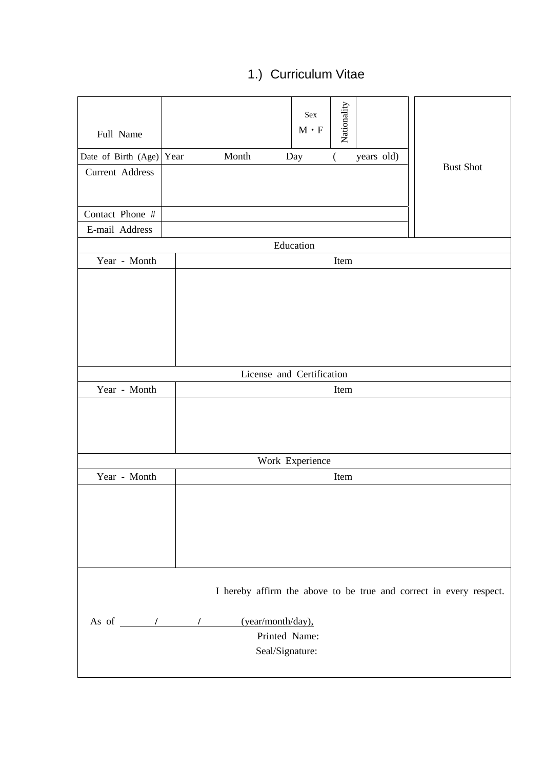### 1.) Curriculum Vitae

| Full Name<br>Date of Birth (Age) Year<br>Current Address<br>Contact Phone # | Month                                                                                | Nationality<br>Sex<br>$\mathbf{M}\cdot\mathbf{F}$<br>Day<br>( | years old) | <b>Bust Shot</b>                                                   |
|-----------------------------------------------------------------------------|--------------------------------------------------------------------------------------|---------------------------------------------------------------|------------|--------------------------------------------------------------------|
| E-mail Address                                                              |                                                                                      |                                                               |            |                                                                    |
|                                                                             |                                                                                      | Education                                                     |            |                                                                    |
| Year - Month                                                                |                                                                                      | Item                                                          |            |                                                                    |
|                                                                             |                                                                                      |                                                               |            |                                                                    |
|                                                                             |                                                                                      | License and Certification                                     |            |                                                                    |
| Year - Month                                                                |                                                                                      | Item                                                          |            |                                                                    |
|                                                                             |                                                                                      | Work Experience                                               |            |                                                                    |
| Year - Month                                                                |                                                                                      | Item                                                          |            |                                                                    |
|                                                                             |                                                                                      |                                                               |            |                                                                    |
|                                                                             | As of $\qquad$ / $\qquad$ /<br>(year/month/day),<br>Printed Name:<br>Seal/Signature: |                                                               |            | I hereby affirm the above to be true and correct in every respect. |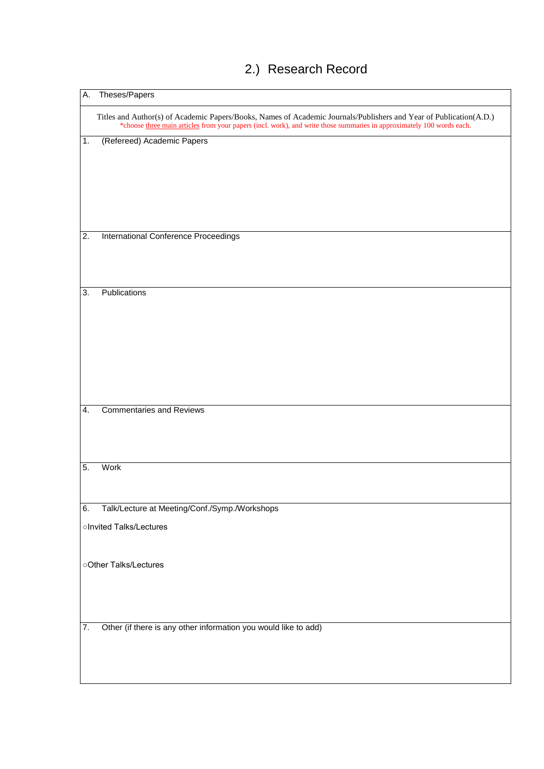| А.               | Theses/Papers                                                                                                                                                                                                                               |
|------------------|---------------------------------------------------------------------------------------------------------------------------------------------------------------------------------------------------------------------------------------------|
|                  | Titles and Author(s) of Academic Papers/Books, Names of Academic Journals/Publishers and Year of Publication(A.D.)<br>*choose three main articles from your papers (incl. work), and write those summaries in approximately 100 words each. |
| $\mathbf 1$ .    | (Refereed) Academic Papers                                                                                                                                                                                                                  |
|                  |                                                                                                                                                                                                                                             |
|                  |                                                                                                                                                                                                                                             |
|                  |                                                                                                                                                                                                                                             |
|                  |                                                                                                                                                                                                                                             |
|                  |                                                                                                                                                                                                                                             |
| $\overline{2}$ . | International Conference Proceedings                                                                                                                                                                                                        |
|                  |                                                                                                                                                                                                                                             |
|                  |                                                                                                                                                                                                                                             |
| 3.               | Publications                                                                                                                                                                                                                                |
|                  |                                                                                                                                                                                                                                             |
|                  |                                                                                                                                                                                                                                             |
|                  |                                                                                                                                                                                                                                             |
|                  |                                                                                                                                                                                                                                             |
|                  |                                                                                                                                                                                                                                             |
|                  |                                                                                                                                                                                                                                             |
| 4.               | <b>Commentaries and Reviews</b>                                                                                                                                                                                                             |
|                  |                                                                                                                                                                                                                                             |
|                  |                                                                                                                                                                                                                                             |
| 5.               | Work                                                                                                                                                                                                                                        |
|                  |                                                                                                                                                                                                                                             |
|                  |                                                                                                                                                                                                                                             |
| 6.               | Talk/Lecture at Meeting/Conf./Symp./Workshops                                                                                                                                                                                               |
|                  | oInvited Talks/Lectures                                                                                                                                                                                                                     |
|                  |                                                                                                                                                                                                                                             |
|                  | oOther Talks/Lectures                                                                                                                                                                                                                       |
|                  |                                                                                                                                                                                                                                             |
|                  |                                                                                                                                                                                                                                             |
|                  |                                                                                                                                                                                                                                             |
| $\overline{7}$ . | Other (if there is any other information you would like to add)                                                                                                                                                                             |
|                  |                                                                                                                                                                                                                                             |
|                  |                                                                                                                                                                                                                                             |
|                  |                                                                                                                                                                                                                                             |

# 2.) Research Record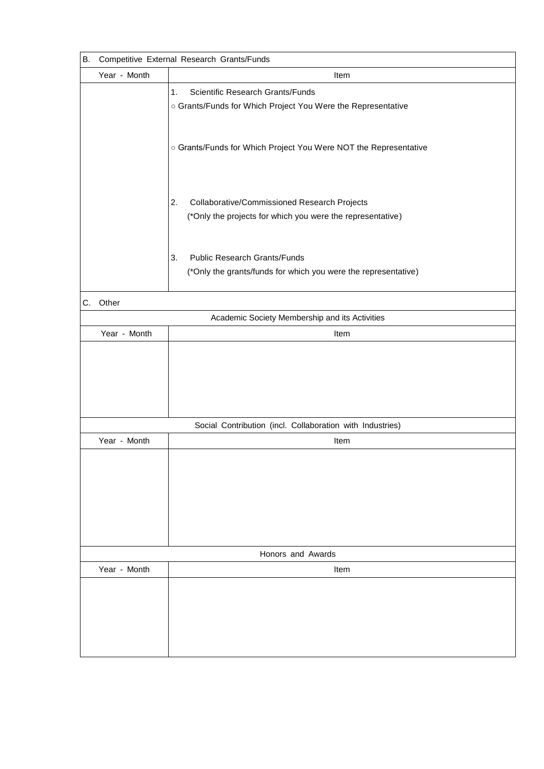| <b>B.</b> | Competitive External Research Grants/Funds |                                                                  |  |
|-----------|--------------------------------------------|------------------------------------------------------------------|--|
|           | Year - Month                               | Item                                                             |  |
|           |                                            | <b>Scientific Research Grants/Funds</b><br>1.                    |  |
|           |                                            | o Grants/Funds for Which Project You Were the Representative     |  |
|           |                                            |                                                                  |  |
|           |                                            |                                                                  |  |
|           |                                            | o Grants/Funds for Which Project You Were NOT the Representative |  |
|           |                                            |                                                                  |  |
|           |                                            |                                                                  |  |
|           |                                            |                                                                  |  |
|           |                                            | Collaborative/Commissioned Research Projects<br>2.               |  |
|           |                                            | (*Only the projects for which you were the representative)       |  |
|           |                                            |                                                                  |  |
|           |                                            |                                                                  |  |
|           |                                            | <b>Public Research Grants/Funds</b><br>3.                        |  |
|           |                                            | (*Only the grants/funds for which you were the representative)   |  |
|           |                                            |                                                                  |  |
| C.        | Other                                      |                                                                  |  |
|           |                                            | Academic Society Membership and its Activities                   |  |
|           | Year - Month                               | Item                                                             |  |
|           |                                            |                                                                  |  |
|           |                                            |                                                                  |  |
|           |                                            |                                                                  |  |
|           |                                            |                                                                  |  |
|           |                                            |                                                                  |  |
|           |                                            | Social Contribution (incl. Collaboration with Industries)        |  |
|           | Year - Month                               | Item                                                             |  |
|           |                                            |                                                                  |  |
|           |                                            |                                                                  |  |
|           |                                            |                                                                  |  |
|           |                                            |                                                                  |  |
|           |                                            |                                                                  |  |
|           |                                            |                                                                  |  |
|           |                                            |                                                                  |  |
|           |                                            | Honors and Awards                                                |  |
|           | Year - Month                               | Item                                                             |  |
|           |                                            |                                                                  |  |
|           |                                            |                                                                  |  |
|           |                                            |                                                                  |  |
|           |                                            |                                                                  |  |
|           |                                            |                                                                  |  |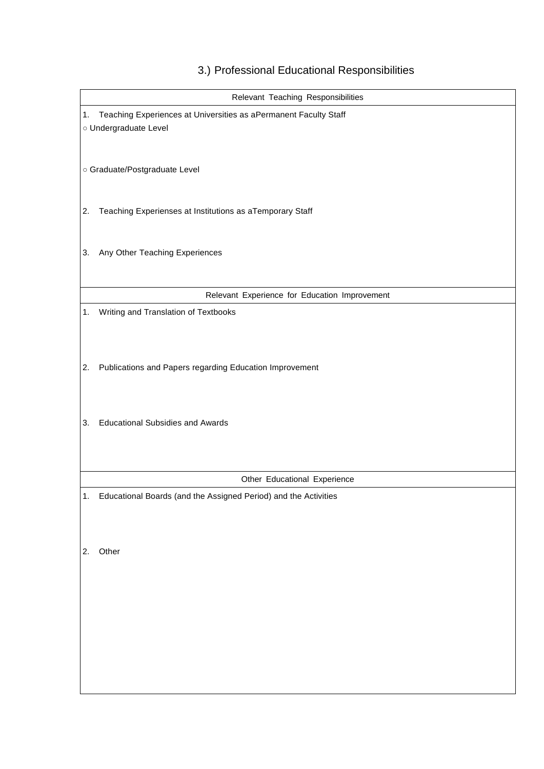| Relevant Teaching Responsibilities |                                                                  |  |  |
|------------------------------------|------------------------------------------------------------------|--|--|
| 1.                                 | Teaching Experiences at Universities as aPermanent Faculty Staff |  |  |
|                                    | o Undergraduate Level                                            |  |  |
|                                    |                                                                  |  |  |
|                                    |                                                                  |  |  |
|                                    | o Graduate/Postgraduate Level                                    |  |  |
|                                    |                                                                  |  |  |
|                                    |                                                                  |  |  |
| 2.                                 | Teaching Experienses at Institutions as aTemporary Staff         |  |  |
|                                    |                                                                  |  |  |
| 3.                                 | Any Other Teaching Experiences                                   |  |  |
|                                    |                                                                  |  |  |
|                                    |                                                                  |  |  |
|                                    | Relevant Experience for Education Improvement                    |  |  |
| 1.                                 | Writing and Translation of Textbooks                             |  |  |
|                                    |                                                                  |  |  |
|                                    |                                                                  |  |  |
|                                    |                                                                  |  |  |
| 2.                                 | Publications and Papers regarding Education Improvement          |  |  |
|                                    |                                                                  |  |  |
|                                    |                                                                  |  |  |
|                                    |                                                                  |  |  |
| 3.                                 | <b>Educational Subsidies and Awards</b>                          |  |  |
|                                    |                                                                  |  |  |
|                                    |                                                                  |  |  |
|                                    |                                                                  |  |  |
|                                    | Other Educational Experience                                     |  |  |
| 1.                                 | Educational Boards (and the Assigned Period) and the Activities  |  |  |
|                                    |                                                                  |  |  |
|                                    |                                                                  |  |  |
| 2.                                 | Other                                                            |  |  |
|                                    |                                                                  |  |  |
|                                    |                                                                  |  |  |
|                                    |                                                                  |  |  |
|                                    |                                                                  |  |  |
|                                    |                                                                  |  |  |
|                                    |                                                                  |  |  |
|                                    |                                                                  |  |  |
|                                    |                                                                  |  |  |
|                                    |                                                                  |  |  |
|                                    |                                                                  |  |  |

#### 3.) Professional Educational Responsibilities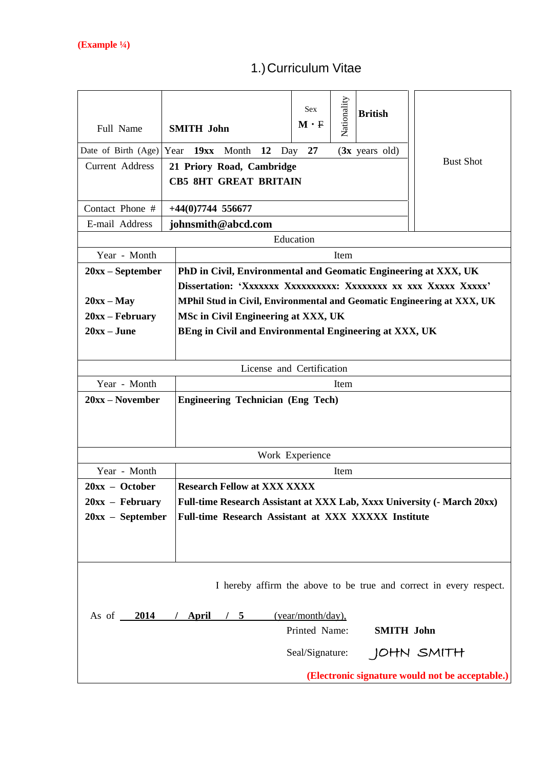# 1.)Curriculum Vitae

| Full Name              | <b>SMITH John</b>                                                              | <b>Sex</b><br>$M \cdot F$          | Nationality | <b>British</b>           |                                                                    |
|------------------------|--------------------------------------------------------------------------------|------------------------------------|-------------|--------------------------|--------------------------------------------------------------------|
| Date of Birth (Age)    | Year 19xx Month<br><b>12</b>                                                   | 27<br>Day                          |             | $(3x \text{ years old})$ |                                                                    |
| <b>Current Address</b> | <b>Bust Shot</b><br>21 Priory Road, Cambridge<br><b>CB5 8HT GREAT BRITAIN</b>  |                                    |             |                          |                                                                    |
| Contact Phone #        | $+44(0)7744$ 556677                                                            |                                    |             |                          |                                                                    |
| E-mail Address         | johnsmith@abcd.com                                                             |                                    |             |                          |                                                                    |
|                        |                                                                                | Education                          |             |                          |                                                                    |
| Year - Month           |                                                                                |                                    | Item        |                          |                                                                    |
| $20xx - September$     | PhD in Civil, Environmental and Geomatic Engineering at XXX, UK                |                                    |             |                          |                                                                    |
|                        |                                                                                |                                    |             |                          |                                                                    |
| $20xx - May$           | MPhil Stud in Civil, Environmental and Geomatic Engineering at XXX, UK         |                                    |             |                          |                                                                    |
| $20xx - February$      | MSc in Civil Engineering at XXX, UK                                            |                                    |             |                          |                                                                    |
| $20xx - June$          | BEng in Civil and Environmental Engineering at XXX, UK                         |                                    |             |                          |                                                                    |
|                        |                                                                                |                                    |             |                          |                                                                    |
|                        | License and Certification                                                      |                                    |             |                          |                                                                    |
| Year - Month           |                                                                                |                                    | Item        |                          |                                                                    |
| $20xx - November$      | <b>Engineering Technician (Eng Tech)</b>                                       |                                    |             |                          |                                                                    |
|                        |                                                                                |                                    |             |                          |                                                                    |
| Year - Month           |                                                                                | Work Experience                    | Item        |                          |                                                                    |
| $20xx - October$       | <b>Research Fellow at XXX XXXX</b>                                             |                                    |             |                          |                                                                    |
| $20xx$ – February      | <b>Full-time Research Assistant at XXX Lab, Xxxx University (- March 20xx)</b> |                                    |             |                          |                                                                    |
| $20xx - September$     | Full-time Research Assistant at XXX XXXXX Institute                            |                                    |             |                          |                                                                    |
|                        |                                                                                |                                    |             |                          |                                                                    |
|                        |                                                                                |                                    |             |                          | I hereby affirm the above to be true and correct in every respect. |
| As of $\frac{2014}{ }$ | / April<br>/5                                                                  | (year/month/day),<br>Printed Name: |             | <b>SMITH John</b>        |                                                                    |
|                        |                                                                                | Seal/Signature:                    |             |                          | JOHN SMITH                                                         |
|                        |                                                                                |                                    |             |                          | (Electronic signature would not be acceptable.)                    |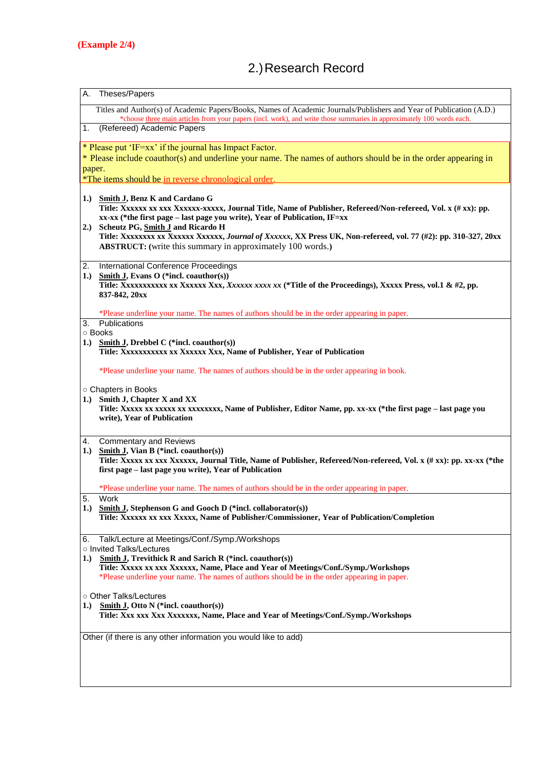# 2.)Research Record

| Α.<br>Theses/Papers                                                                                                                                                                                                                                                                                                                                                                                                                                               |  |
|-------------------------------------------------------------------------------------------------------------------------------------------------------------------------------------------------------------------------------------------------------------------------------------------------------------------------------------------------------------------------------------------------------------------------------------------------------------------|--|
| Titles and Author(s) of Academic Papers/Books, Names of Academic Journals/Publishers and Year of Publication (A.D.)<br>*choose three main articles from your papers (incl. work), and write those summaries in approximately 100 words each.                                                                                                                                                                                                                      |  |
| 1.<br>(Refereed) Academic Papers                                                                                                                                                                                                                                                                                                                                                                                                                                  |  |
| * Please put 'IF=xx' if the journal has Impact Factor.<br>* Please include coauthor(s) and underline your name. The names of authors should be in the order appearing in                                                                                                                                                                                                                                                                                          |  |
| paper.<br>*The items should be in reverse chronological order.                                                                                                                                                                                                                                                                                                                                                                                                    |  |
| 1.) Smith J, Benz K and Cardano G<br>Title: Xxxxxx xx xxx Xxxxxx-xxxxx, Journal Title, Name of Publisher, Refereed/Non-refereed, Vol. x (# xx): pp.<br>xx-xx (*the first page – last page you write), Year of Publication, IF=xx<br>2.) Scheutz PG, Smith J and Ricardo H<br>Title: XXXXXXXX XX XXXXXX XXXXXX, Journal of Xxxxxx, XX Press UK, Non-refereed, vol. 77 (#2): pp. 310-327, 20xx<br><b>ABSTRUCT:</b> (write this summary in approximately 100 words.) |  |
| 2.<br>International Conference Proceedings<br><b>Smith J, Evans O</b> (*incl. coauthor(s))<br>1.)<br>837-842, 20xx                                                                                                                                                                                                                                                                                                                                                |  |
| *Please underline your name. The names of authors should be in the order appearing in paper.<br>Publications<br>3.                                                                                                                                                                                                                                                                                                                                                |  |
| ○ Books                                                                                                                                                                                                                                                                                                                                                                                                                                                           |  |
| 1.) Smith J, Drebbel C (*incl. coauthor(s))<br>Title: XXXXXXXXXX XX XXXXXX XXX, Name of Publisher, Year of Publication                                                                                                                                                                                                                                                                                                                                            |  |
| *Please underline your name. The names of authors should be in the order appearing in book.                                                                                                                                                                                                                                                                                                                                                                       |  |
| O Chapters in Books<br>1.) Smith J, Chapter X and XX<br>Title: XXXXX XX XXXXX XX XXXXXXXX, Name of Publisher, Editor Name, pp. XX-XX (*the first page - last page you<br>write), Year of Publication                                                                                                                                                                                                                                                              |  |
| <b>Commentary and Reviews</b><br>4.                                                                                                                                                                                                                                                                                                                                                                                                                               |  |
| <b>Smith J, Vian B</b> (*incl. coauthor(s))<br>1.)<br>Title: Xxxxx xx xxx Xxxxxx, Journal Title, Name of Publisher, Refereed/Non-refereed, Vol. x (# xx): pp. xx-xx (*the<br>first page - last page you write), Year of Publication                                                                                                                                                                                                                               |  |
| *Please underline your name. The names of authors should be in the order appearing in paper.                                                                                                                                                                                                                                                                                                                                                                      |  |
| 5.<br>Work<br>1.) Smith J, Stephenson G and Gooch D (*incl. collaborator(s))<br>Title: Xxxxxx xx xxx Xxxxx, Name of Publisher/Commissioner, Year of Publication/Completion                                                                                                                                                                                                                                                                                        |  |
| Talk/Lecture at Meetings/Conf./Symp./Workshops<br>6.<br>o Invited Talks/Lectures<br>1.)<br><b>Smith J, Trevithick R and Sarich R</b> (*incl. coauthor(s))<br>Title: Xxxxx xx xxx Xxxxxx, Name, Place and Year of Meetings/Conf./Symp./Workshops<br>*Please underline your name. The names of authors should be in the order appearing in paper.                                                                                                                   |  |
| ○ Other Talks/Lectures<br>1.) Smith J, Otto N (*incl. coauthor(s))<br>Title: Xxx xxx Xxx Xxxxxxx, Name, Place and Year of Meetings/Conf./Symp./Workshops                                                                                                                                                                                                                                                                                                          |  |
| Other (if there is any other information you would like to add)                                                                                                                                                                                                                                                                                                                                                                                                   |  |
|                                                                                                                                                                                                                                                                                                                                                                                                                                                                   |  |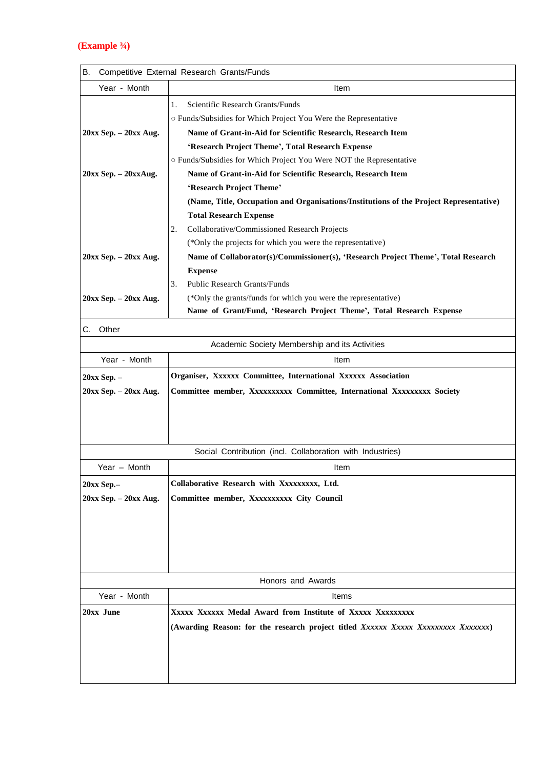#### **(Example ¾)**

| В.<br>Competitive External Research Grants/Funds |                                                                                        |  |  |
|--------------------------------------------------|----------------------------------------------------------------------------------------|--|--|
| Year - Month                                     | Item                                                                                   |  |  |
|                                                  | Scientific Research Grants/Funds<br>1.                                                 |  |  |
|                                                  | O Funds/Subsidies for Which Project You Were the Representative                        |  |  |
| 20xx Sep. - 20xx Aug.                            | Name of Grant-in-Aid for Scientific Research, Research Item                            |  |  |
|                                                  | 'Research Project Theme', Total Research Expense                                       |  |  |
|                                                  | o Funds/Subsidies for Which Project You Were NOT the Representative                    |  |  |
| $20xx$ Sep. $-20xxAug$ .                         | Name of Grant-in-Aid for Scientific Research, Research Item                            |  |  |
|                                                  | 'Research Project Theme'                                                               |  |  |
|                                                  | (Name, Title, Occupation and Organisations/Institutions of the Project Representative) |  |  |
|                                                  | <b>Total Research Expense</b>                                                          |  |  |
|                                                  | Collaborative/Commissioned Research Projects<br>2.                                     |  |  |
|                                                  | (*Only the projects for which you were the representative)                             |  |  |
| $20xx$ Sep. $-20xx$ Aug.                         | Name of Collaborator(s)/Commissioner(s), 'Research Project Theme', Total Research      |  |  |
|                                                  | <b>Expense</b>                                                                         |  |  |
|                                                  | 3.<br><b>Public Research Grants/Funds</b>                                              |  |  |
| 20xx Sep. - 20xx Aug.                            | (*Only the grants/funds for which you were the representative)                         |  |  |
|                                                  | Name of Grant/Fund, 'Research Project Theme', Total Research Expense                   |  |  |
| Other<br>С.                                      |                                                                                        |  |  |
|                                                  | Academic Society Membership and its Activities                                         |  |  |
| Year - Month                                     | Item                                                                                   |  |  |
| 20xx Sep. -                                      | Organiser, Xxxxxx Committee, International Xxxxxx Association                          |  |  |
| $20xx$ Sep. $-20xx$ Aug.                         | Committee member, Xxxxxxxxxx Committee, International Xxxxxxxxx Society                |  |  |
|                                                  |                                                                                        |  |  |
|                                                  |                                                                                        |  |  |
|                                                  |                                                                                        |  |  |
|                                                  | Social Contribution (incl. Collaboration with Industries)                              |  |  |
| Year - Month                                     | Item                                                                                   |  |  |
| 20xx Sep.-                                       | Collaborative Research with Xxxxxxxxx, Ltd.                                            |  |  |
| $20xx$ Sep. $-20xx$ Aug.                         | Committee member, Xxxxxxxxx City Council                                               |  |  |
|                                                  |                                                                                        |  |  |
|                                                  |                                                                                        |  |  |
|                                                  |                                                                                        |  |  |
|                                                  |                                                                                        |  |  |
|                                                  |                                                                                        |  |  |
|                                                  | Honors and Awards                                                                      |  |  |
| Year - Month                                     | Items                                                                                  |  |  |
| 20xx June                                        | XXXXX XXXXXX Medal Award from Institute of XXXXX XXXXXXXXX                             |  |  |
|                                                  | (Awarding Reason: for the research project titled Xxxxxx Xxxxx Xxxxxxxx Xxxxxxxx)      |  |  |
|                                                  |                                                                                        |  |  |
|                                                  |                                                                                        |  |  |
|                                                  |                                                                                        |  |  |
|                                                  |                                                                                        |  |  |